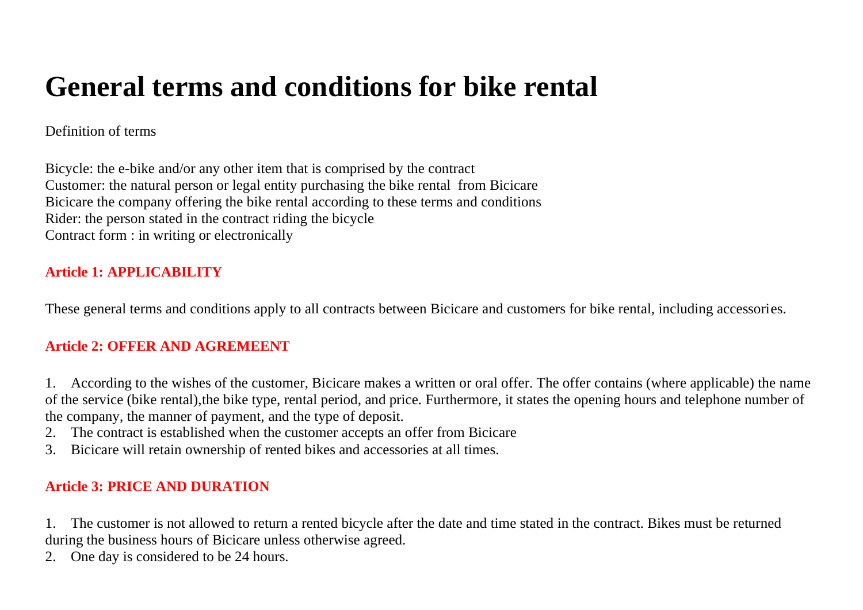# **General terms and conditions for bike rental**

#### Definition of terms

Bicycle: the e-bike and/or any other item that is comprised by the contract Customer: the natural person or legal entity purchasing the bike rental from Bicicare Bicicare the company offering the bike rental according to these terms and conditions Rider: the person stated in the contract riding the bicycle Contract form : in writing or electronically

#### **Article 1: APPLICABILITY**

These general terms and conditions apply to all contracts between Bicicare and customers for bike rental, including accessories.

#### **Article 2: OFFER AND AGREMEENT**

1. According to the wishes of the customer, Bicicare makes a written or oral offer. The offer contains (where applicable) the name of the service (bike rental),the bike type, rental period, and price. Furthermore, it states the opening hours and telephone number of the company, the manner of payment, and the type of deposit.

- 2. The contract is established when the customer accepts an offer from Bicicare
- 3. Bicicare will retain ownership of rented bikes and accessories at all times.

#### **Article 3: PRICE AND DURATION**

1. The customer is not allowed to return a rented bicycle after the date and time stated in the contract. Bikes must be returned during the business hours of Bicicare unless otherwise agreed.

2. One day is considered to be 24 hours.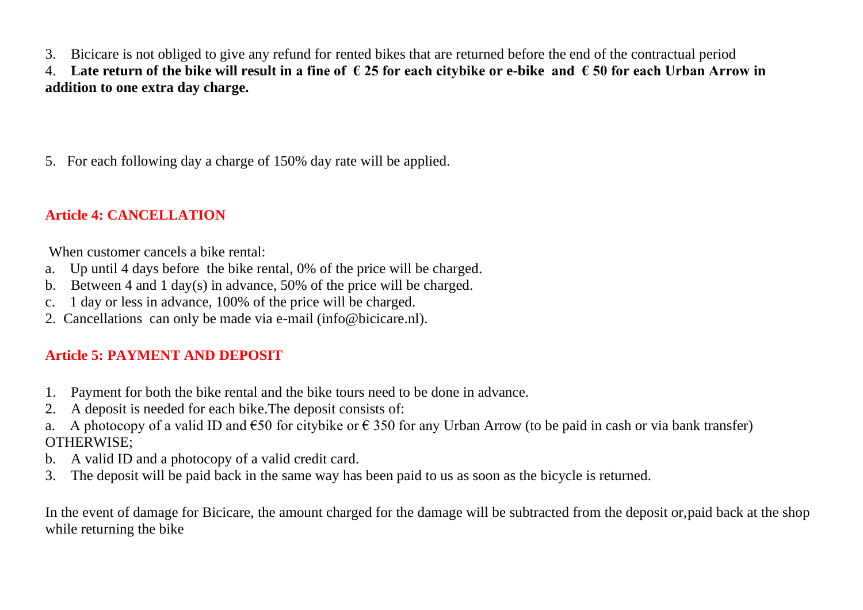3. Bicicare is not obliged to give any refund for rented bikes that are returned before the end of the contractual period

4. **Late return of the bike will result in a fine of € 25 for each citybike or e-bike and € 50 for each Urban Arrow in addition to one extra day charge.**

5. For each following day a charge of 150% day rate will be applied.

### **Article 4: CANCELLATION**

When customer cancels a bike rental:

- a. Up until 4 days before the bike rental, 0% of the price will be charged.
- b. Between 4 and 1 day(s) in advance, 50% of the price will be charged.
- c. 1 day or less in advance, 100% of the price will be charged.
- 2. Cancellations can only be made via e-mail (info@bicicare.nl).

#### **Article 5: PAYMENT AND DEPOSIT**

- 1. Payment for both the bike rental and the bike tours need to be done in advance.
- 2. A deposit is needed for each bike.The deposit consists of:
- a. A photocopy of a valid ID and  $\epsilon$ 50 for citybike or  $\epsilon$  350 for any Urban Arrow (to be paid in cash or via bank transfer) OTHERWISE;
- b. A valid ID and a photocopy of a valid credit card.
- 3. The deposit will be paid back in the same way has been paid to us as soon as the bicycle is returned.

In the event of damage for Bicicare, the amount charged for the damage will be subtracted from the deposit or,paid back at the shop while returning the bike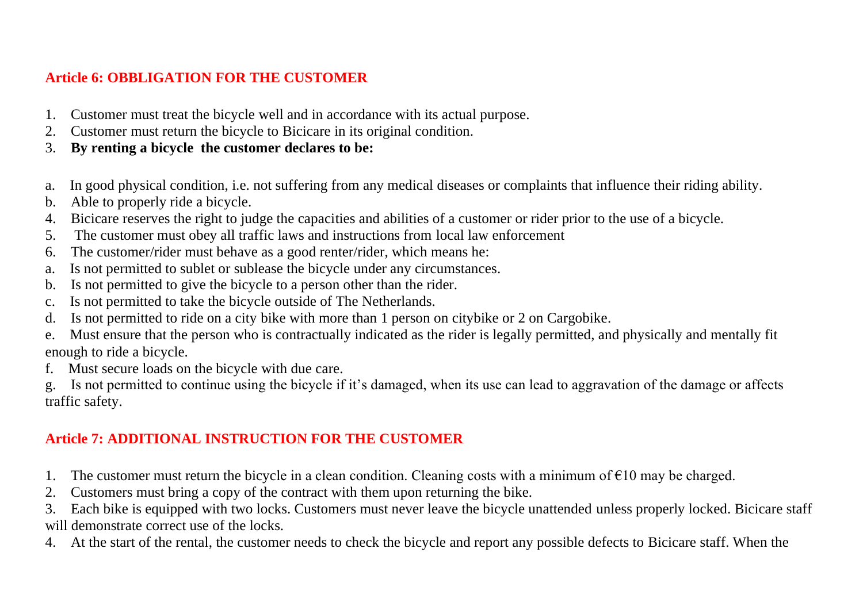### **Article 6: OBBLIGATION FOR THE CUSTOMER**

- 1. Customer must treat the bicycle well and in accordance with its actual purpose.
- 2. Customer must return the bicycle to Bicicare in its original condition.
- 3. **By renting a bicycle the customer declares to be:**
- a. In good physical condition, i.e. not suffering from any medical diseases or complaints that influence their riding ability.
- b. Able to properly ride a bicycle.
- 4. Bicicare reserves the right to judge the capacities and abilities of a customer or rider prior to the use of a bicycle.
- 5. The customer must obey all traffic laws and instructions from local law enforcement
- 6. The customer/rider must behave as a good renter/rider, which means he:
- a. Is not permitted to sublet or sublease the bicycle under any circumstances.
- b. Is not permitted to give the bicycle to a person other than the rider.
- c. Is not permitted to take the bicycle outside of The Netherlands.
- d. Is not permitted to ride on a city bike with more than 1 person on citybike or 2 on Cargobike.
- e. Must ensure that the person who is contractually indicated as the rider is legally permitted, and physically and mentally fit enough to ride a bicycle.
- f. Must secure loads on the bicycle with due care.
- g. Is not permitted to continue using the bicycle if it's damaged, when its use can lead to aggravation of the damage or affects traffic safety.

## **Article 7: ADDITIONAL INSTRUCTION FOR THE CUSTOMER**

- 1. The customer must return the bicycle in a clean condition. Cleaning costs with a minimum of  $\epsilon$ 10 may be charged.
- 2. Customers must bring a copy of the contract with them upon returning the bike.

3. Each bike is equipped with two locks. Customers must never leave the bicycle unattended unless properly locked. Bicicare staff will demonstrate correct use of the locks.

4. At the start of the rental, the customer needs to check the bicycle and report any possible defects to Bicicare staff. When the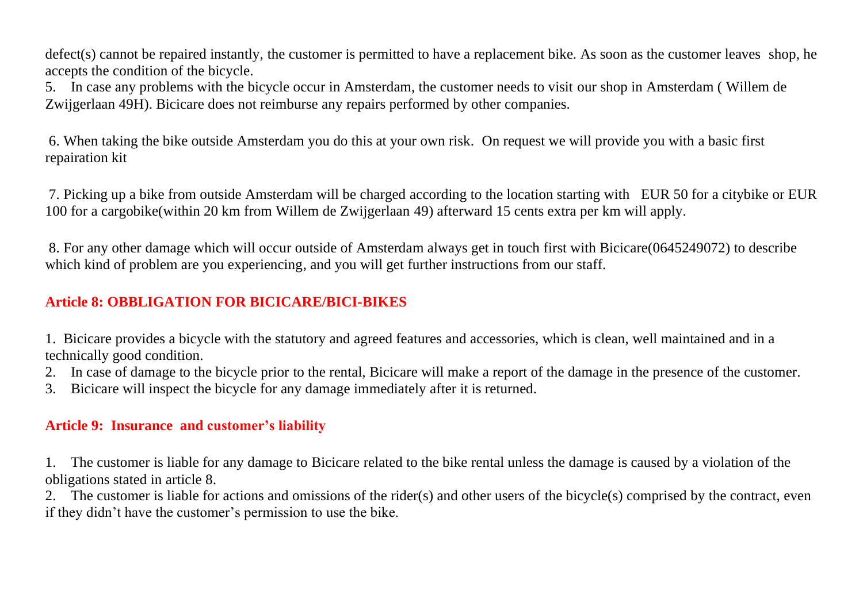defect(s) cannot be repaired instantly, the customer is permitted to have a replacement bike. As soon as the customer leaves shop, he accepts the condition of the bicycle.

5. In case any problems with the bicycle occur in Amsterdam, the customer needs to visit our shop in Amsterdam ( Willem de Zwijgerlaan 49H). Bicicare does not reimburse any repairs performed by other companies.

6. When taking the bike outside Amsterdam you do this at your own risk. On request we will provide you with a basic first repairation kit

7. Picking up a bike from outside Amsterdam will be charged according to the location starting with EUR 50 for a citybike or EUR 100 for a cargobike(within 20 km from Willem de Zwijgerlaan 49) afterward 15 cents extra per km will apply.

8. For any other damage which will occur outside of Amsterdam always get in touch first with Bicicare(0645249072) to describe which kind of problem are you experiencing, and you will get further instructions from our staff.

#### **Article 8: OBBLIGATION FOR BICICARE/BICI-BIKES**

1. Bicicare provides a bicycle with the statutory and agreed features and accessories, which is clean, well maintained and in a technically good condition.

- 2. In case of damage to the bicycle prior to the rental, Bicicare will make a report of the damage in the presence of the customer.
- 3. Bicicare will inspect the bicycle for any damage immediately after it is returned.

#### **Article 9: Insurance and customer's liability**

1. The customer is liable for any damage to Bicicare related to the bike rental unless the damage is caused by a violation of the obligations stated in article 8.

2. The customer is liable for actions and omissions of the rider(s) and other users of the bicycle(s) comprised by the contract, even if they didn't have the customer's permission to use the bike.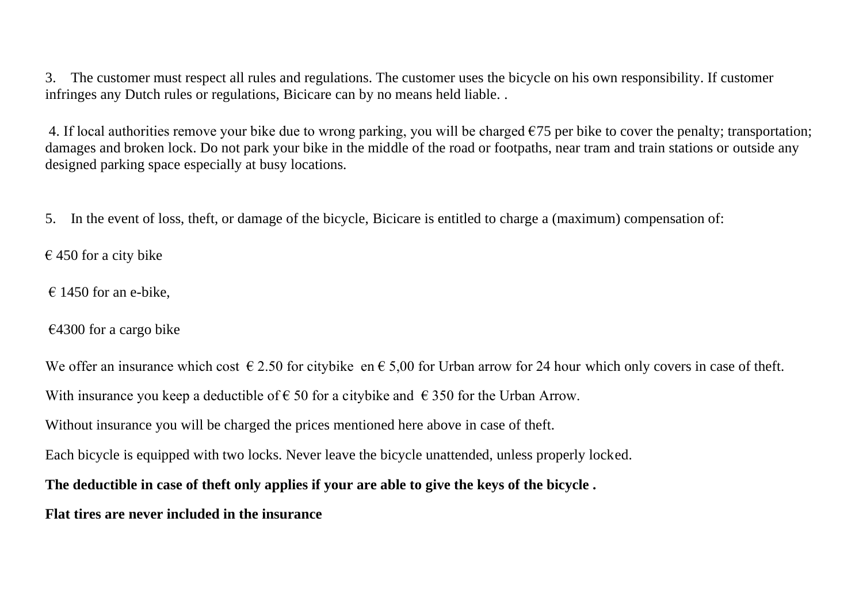3. The customer must respect all rules and regulations. The customer uses the bicycle on his own responsibility. If customer infringes any Dutch rules or regulations, Bicicare can by no means held liable. .

4. If local authorities remove your bike due to wrong parking, you will be charged  $\epsilon$ 75 per bike to cover the penalty; transportation; damages and broken lock. Do not park your bike in the middle of the road or footpaths, near tram and train stations or outside any designed parking space especially at busy locations.

5. In the event of loss, theft, or damage of the bicycle, Bicicare is entitled to charge a (maximum) compensation of:

 $\epsilon$  450 for a city bike

 $\epsilon$  1450 for an e-bike.

 $€4300$  for a cargo bike

We offer an insurance which cost  $\epsilon$  2.50 for citybike en  $\epsilon$  5,00 for Urban arrow for 24 hour which only covers in case of theft. With insurance you keep a deductible of  $\epsilon$  50 for a citybike and  $\epsilon$  350 for the Urban Arrow. Without insurance you will be charged the prices mentioned here above in case of theft. Each bicycle is equipped with two locks. Never leave the bicycle unattended, unless properly locked. **The deductible in case of theft only applies if your are able to give the keys of the bicycle . Flat tires are never included in the insurance**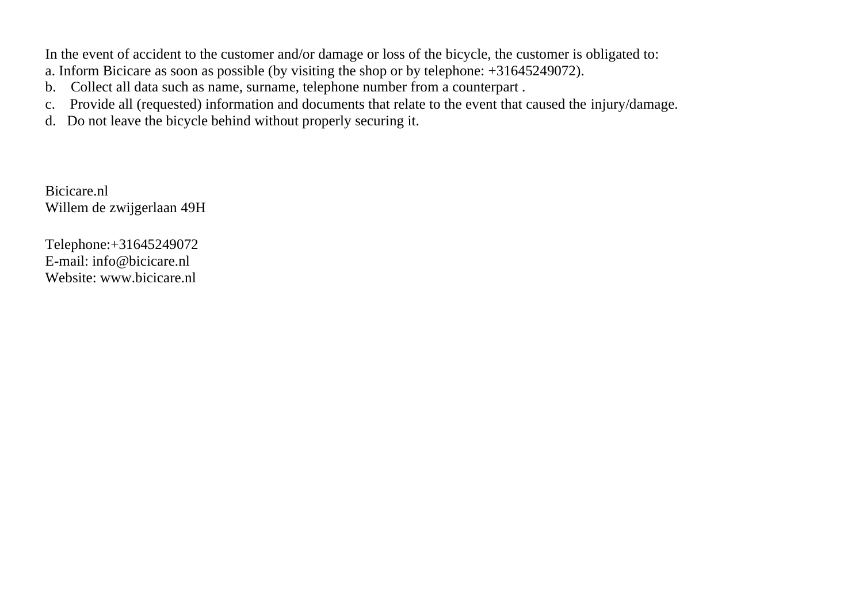In the event of accident to the customer and/or damage or loss of the bicycle, the customer is obligated to:

- a. Inform Bicicare as soon as possible (by visiting the shop or by telephone: +31645249072).
- b. Collect all data such as name, surname, telephone number from a counterpart .
- c. Provide all (requested) information and documents that relate to the event that caused the injury/damage.
- d. Do not leave the bicycle behind without properly securing it.

Bicicare.nl Willem de zwijgerlaan 49H

Telephone:+31645249072 E-mail: info@bicicare.nl Website: www.bicicare.nl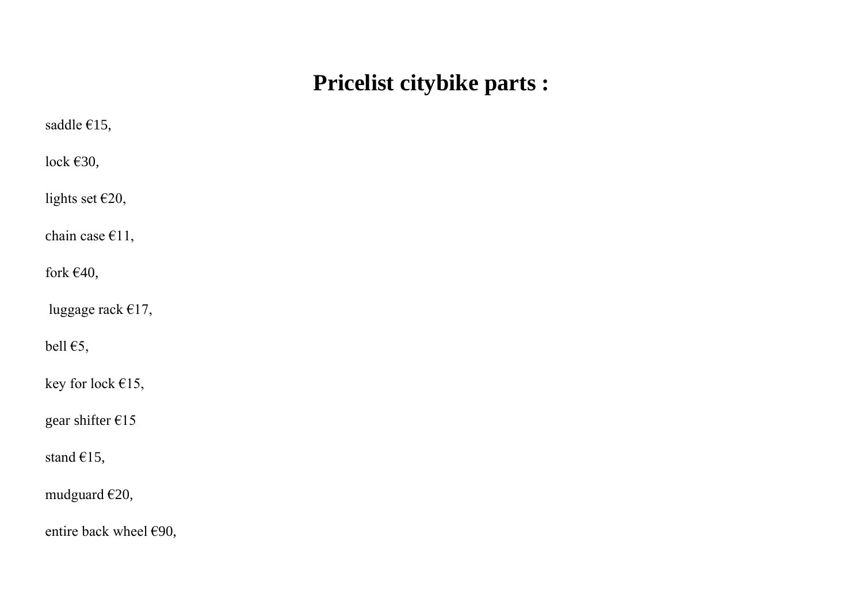# **Pricelist citybike parts :**

| saddle €15,            |
|------------------------|
| lock $€30,$            |
| lights set €20,        |
| chain case $€11,$      |
| fork €40,              |
| luggage rack €17,      |
| bell $E$ 5,            |
| key for lock €15,      |
| gear shifter €15       |
| stand €15,             |
| mudguard €20,          |
| entire back wheel €90, |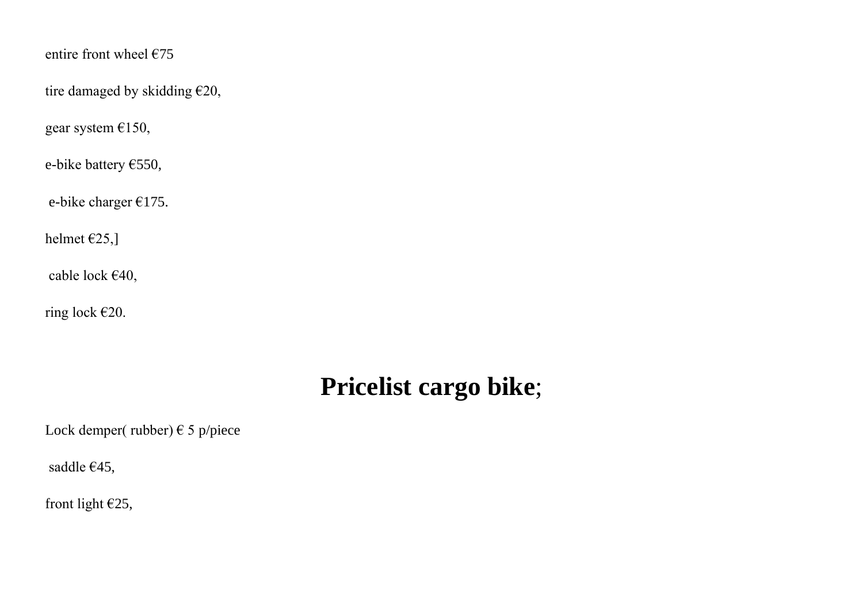entire front wheel  $675$ 

tire damaged by skidding €20,

gear system €150,

e-bike battery €550,

e-bike charger €175.

helmet €25,]

cable lock €40,

ring lock €20.

# **Pricelist cargo bike**;

Lock demper( rubber)  $\in$  5 p/piece

saddle €45,

front light €25,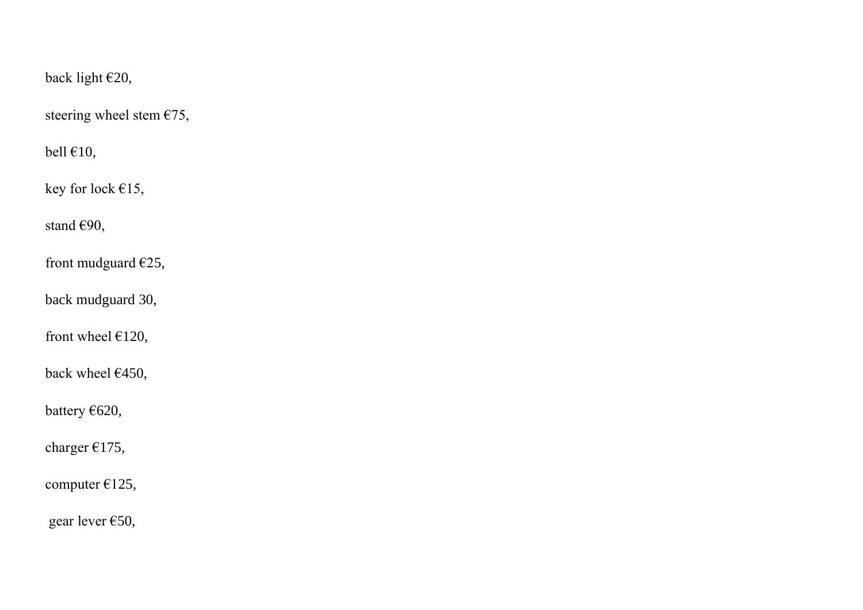back light €20,

steering wheel stem  $\epsilon$ 75,

bell  $€10$ ,

key for lock €15,

stand €90,

front mudguard €25,

back mudguard 30,

front wheel  $£120$ ,

back wheel €450,

battery €620,

charger €175,

computer €125,

gear lever €50,